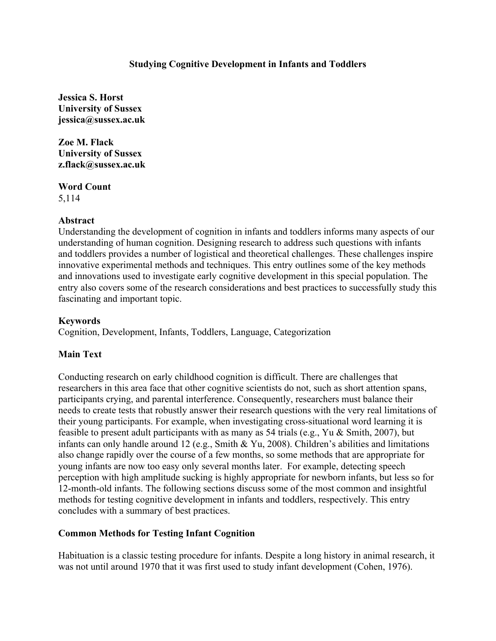# **Studying Cognitive Development in Infants and Toddlers**

**Jessica S. Horst University of Sussex jessica@sussex.ac.uk**

**Zoe M. Flack University of Sussex z.flack@sussex.ac.uk**

**Word Count** 5,114

### **Abstract**

Understanding the development of cognition in infants and toddlers informs many aspects of our understanding of human cognition. Designing research to address such questions with infants and toddlers provides a number of logistical and theoretical challenges. These challenges inspire innovative experimental methods and techniques. This entry outlines some of the key methods and innovations used to investigate early cognitive development in this special population. The entry also covers some of the research considerations and best practices to successfully study this fascinating and important topic.

### **Keywords**

Cognition, Development, Infants, Toddlers, Language, Categorization

# **Main Text**

Conducting research on early childhood cognition is difficult. There are challenges that researchers in this area face that other cognitive scientists do not, such as short attention spans, participants crying, and parental interference. Consequently, researchers must balance their needs to create tests that robustly answer their research questions with the very real limitations of their young participants. For example, when investigating cross-situational word learning it is feasible to present adult participants with as many as 54 trials (e.g., Yu & Smith, 2007), but infants can only handle around 12 (e.g., Smith & Yu, 2008). Children's abilities and limitations also change rapidly over the course of a few months, so some methods that are appropriate for young infants are now too easy only several months later. For example, detecting speech perception with high amplitude sucking is highly appropriate for newborn infants, but less so for 12-month-old infants. The following sections discuss some of the most common and insightful methods for testing cognitive development in infants and toddlers, respectively. This entry concludes with a summary of best practices.

# **Common Methods for Testing Infant Cognition**

Habituation is a classic testing procedure for infants. Despite a long history in animal research, it was not until around 1970 that it was first used to study infant development (Cohen, 1976).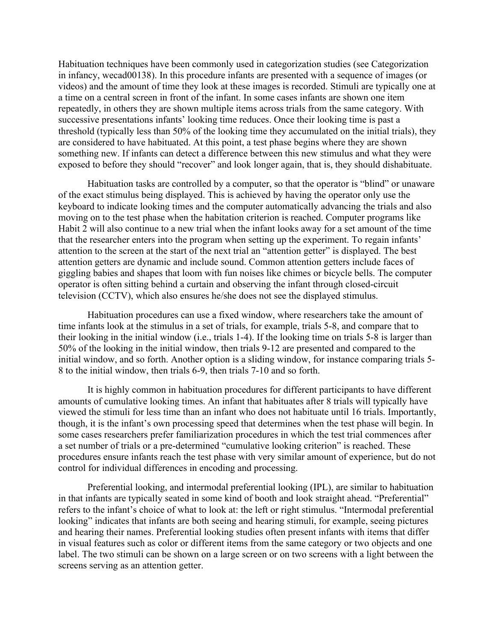Habituation techniques have been commonly used in categorization studies (see Categorization in infancy, wecad00138). In this procedure infants are presented with a sequence of images (or videos) and the amount of time they look at these images is recorded. Stimuli are typically one at a time on a central screen in front of the infant. In some cases infants are shown one item repeatedly, in others they are shown multiple items across trials from the same category. With successive presentations infants' looking time reduces. Once their looking time is past a threshold (typically less than 50% of the looking time they accumulated on the initial trials), they are considered to have habituated. At this point, a test phase begins where they are shown something new. If infants can detect a difference between this new stimulus and what they were exposed to before they should "recover" and look longer again, that is, they should dishabituate.

Habituation tasks are controlled by a computer, so that the operator is "blind" or unaware of the exact stimulus being displayed. This is achieved by having the operator only use the keyboard to indicate looking times and the computer automatically advancing the trials and also moving on to the test phase when the habitation criterion is reached. Computer programs like Habit 2 will also continue to a new trial when the infant looks away for a set amount of the time that the researcher enters into the program when setting up the experiment. To regain infants' attention to the screen at the start of the next trial an "attention getter" is displayed. The best attention getters are dynamic and include sound. Common attention getters include faces of giggling babies and shapes that loom with fun noises like chimes or bicycle bells. The computer operator is often sitting behind a curtain and observing the infant through closed-circuit television (CCTV), which also ensures he/she does not see the displayed stimulus.

Habituation procedures can use a fixed window, where researchers take the amount of time infants look at the stimulus in a set of trials, for example, trials 5-8, and compare that to their looking in the initial window (i.e., trials 1-4). If the looking time on trials 5-8 is larger than 50% of the looking in the initial window, then trials 9-12 are presented and compared to the initial window, and so forth. Another option is a sliding window, for instance comparing trials 5- 8 to the initial window, then trials 6-9, then trials 7-10 and so forth.

It is highly common in habituation procedures for different participants to have different amounts of cumulative looking times. An infant that habituates after 8 trials will typically have viewed the stimuli for less time than an infant who does not habituate until 16 trials. Importantly, though, it is the infant's own processing speed that determines when the test phase will begin. In some cases researchers prefer familiarization procedures in which the test trial commences after a set number of trials or a pre-determined "cumulative looking criterion" is reached. These procedures ensure infants reach the test phase with very similar amount of experience, but do not control for individual differences in encoding and processing.

Preferential looking, and intermodal preferential looking (IPL), are similar to habituation in that infants are typically seated in some kind of booth and look straight ahead. "Preferential" refers to the infant's choice of what to look at: the left or right stimulus. "Intermodal preferential looking" indicates that infants are both seeing and hearing stimuli, for example, seeing pictures and hearing their names. Preferential looking studies often present infants with items that differ in visual features such as color or different items from the same category or two objects and one label. The two stimuli can be shown on a large screen or on two screens with a light between the screens serving as an attention getter.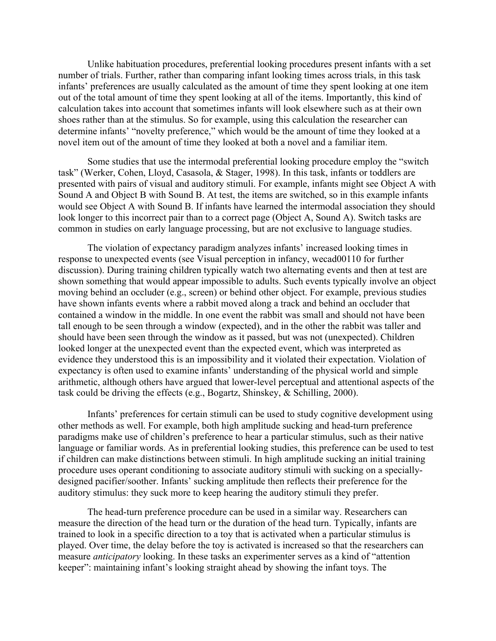Unlike habituation procedures, preferential looking procedures present infants with a set number of trials. Further, rather than comparing infant looking times across trials, in this task infants' preferences are usually calculated as the amount of time they spent looking at one item out of the total amount of time they spent looking at all of the items. Importantly, this kind of calculation takes into account that sometimes infants will look elsewhere such as at their own shoes rather than at the stimulus. So for example, using this calculation the researcher can determine infants' "novelty preference," which would be the amount of time they looked at a novel item out of the amount of time they looked at both a novel and a familiar item.

Some studies that use the intermodal preferential looking procedure employ the "switch task" (Werker, Cohen, Lloyd, Casasola, & Stager, 1998). In this task, infants or toddlers are presented with pairs of visual and auditory stimuli. For example, infants might see Object A with Sound A and Object B with Sound B. At test, the items are switched, so in this example infants would see Object A with Sound B. If infants have learned the intermodal association they should look longer to this incorrect pair than to a correct page (Object A, Sound A). Switch tasks are common in studies on early language processing, but are not exclusive to language studies.

The violation of expectancy paradigm analyzes infants' increased looking times in response to unexpected events (see Visual perception in infancy, wecad00110 for further discussion). During training children typically watch two alternating events and then at test are shown something that would appear impossible to adults. Such events typically involve an object moving behind an occluder (e.g., screen) or behind other object. For example, previous studies have shown infants events where a rabbit moved along a track and behind an occluder that contained a window in the middle. In one event the rabbit was small and should not have been tall enough to be seen through a window (expected), and in the other the rabbit was taller and should have been seen through the window as it passed, but was not (unexpected). Children looked longer at the unexpected event than the expected event, which was interpreted as evidence they understood this is an impossibility and it violated their expectation. Violation of expectancy is often used to examine infants' understanding of the physical world and simple arithmetic, although others have argued that lower-level perceptual and attentional aspects of the task could be driving the effects (e.g., Bogartz, Shinskey, & Schilling, 2000).

Infants' preferences for certain stimuli can be used to study cognitive development using other methods as well. For example, both high amplitude sucking and head-turn preference paradigms make use of children's preference to hear a particular stimulus, such as their native language or familiar words. As in preferential looking studies, this preference can be used to test if children can make distinctions between stimuli. In high amplitude sucking an initial training procedure uses operant conditioning to associate auditory stimuli with sucking on a speciallydesigned pacifier/soother. Infants' sucking amplitude then reflects their preference for the auditory stimulus: they suck more to keep hearing the auditory stimuli they prefer.

The head-turn preference procedure can be used in a similar way. Researchers can measure the direction of the head turn or the duration of the head turn. Typically, infants are trained to look in a specific direction to a toy that is activated when a particular stimulus is played. Over time, the delay before the toy is activated is increased so that the researchers can measure *anticipatory* looking. In these tasks an experimenter serves as a kind of "attention keeper": maintaining infant's looking straight ahead by showing the infant toys. The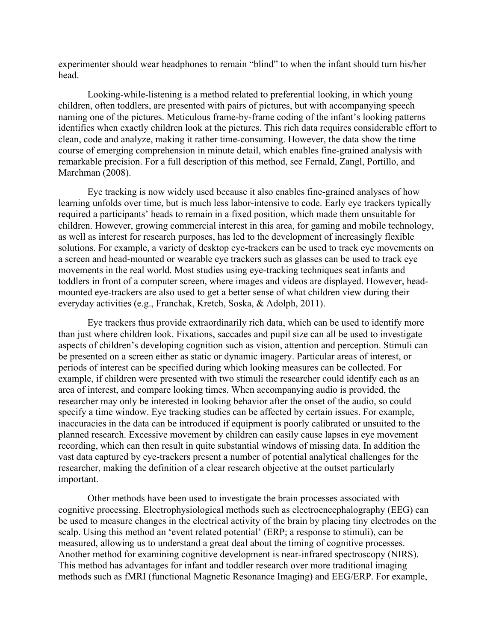experimenter should wear headphones to remain "blind" to when the infant should turn his/her head.

Looking-while-listening is a method related to preferential looking, in which young children, often toddlers, are presented with pairs of pictures, but with accompanying speech naming one of the pictures. Meticulous frame-by-frame coding of the infant's looking patterns identifies when exactly children look at the pictures. This rich data requires considerable effort to clean, code and analyze, making it rather time-consuming. However, the data show the time course of emerging comprehension in minute detail, which enables fine-grained analysis with remarkable precision. For a full description of this method, see Fernald, Zangl, Portillo, and Marchman (2008).

Eye tracking is now widely used because it also enables fine-grained analyses of how learning unfolds over time, but is much less labor-intensive to code. Early eye trackers typically required a participants' heads to remain in a fixed position, which made them unsuitable for children. However, growing commercial interest in this area, for gaming and mobile technology, as well as interest for research purposes, has led to the development of increasingly flexible solutions. For example, a variety of desktop eye-trackers can be used to track eye movements on a screen and head-mounted or wearable eye trackers such as glasses can be used to track eye movements in the real world. Most studies using eye-tracking techniques seat infants and toddlers in front of a computer screen, where images and videos are displayed. However, headmounted eye-trackers are also used to get a better sense of what children view during their everyday activities (e.g., Franchak, Kretch, Soska, & Adolph, 2011).

Eye trackers thus provide extraordinarily rich data, which can be used to identify more than just where children look. Fixations, saccades and pupil size can all be used to investigate aspects of children's developing cognition such as vision, attention and perception. Stimuli can be presented on a screen either as static or dynamic imagery. Particular areas of interest, or periods of interest can be specified during which looking measures can be collected. For example, if children were presented with two stimuli the researcher could identify each as an area of interest, and compare looking times. When accompanying audio is provided, the researcher may only be interested in looking behavior after the onset of the audio, so could specify a time window. Eye tracking studies can be affected by certain issues. For example, inaccuracies in the data can be introduced if equipment is poorly calibrated or unsuited to the planned research. Excessive movement by children can easily cause lapses in eye movement recording, which can then result in quite substantial windows of missing data. In addition the vast data captured by eye-trackers present a number of potential analytical challenges for the researcher, making the definition of a clear research objective at the outset particularly important.

Other methods have been used to investigate the brain processes associated with cognitive processing. Electrophysiological methods such as electroencephalography (EEG) can be used to measure changes in the electrical activity of the brain by placing tiny electrodes on the scalp. Using this method an 'event related potential' (ERP; a response to stimuli), can be measured, allowing us to understand a great deal about the timing of cognitive processes. Another method for examining cognitive development is near-infrared spectroscopy (NIRS). This method has advantages for infant and toddler research over more traditional imaging methods such as fMRI (functional Magnetic Resonance Imaging) and EEG/ERP. For example,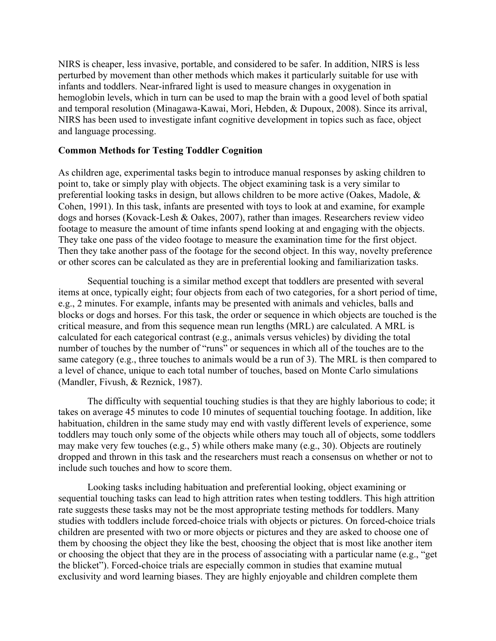NIRS is cheaper, less invasive, portable, and considered to be safer. In addition, NIRS is less perturbed by movement than other methods which makes it particularly suitable for use with infants and toddlers. Near-infrared light is used to measure changes in oxygenation in hemoglobin levels, which in turn can be used to map the brain with a good level of both spatial and temporal resolution (Minagawa-Kawai, Mori, Hebden, & Dupoux, 2008). Since its arrival, NIRS has been used to investigate infant cognitive development in topics such as face, object and language processing.

#### **Common Methods for Testing Toddler Cognition**

As children age, experimental tasks begin to introduce manual responses by asking children to point to, take or simply play with objects. The object examining task is a very similar to preferential looking tasks in design, but allows children to be more active (Oakes, Madole, & Cohen, 1991). In this task, infants are presented with toys to look at and examine, for example dogs and horses (Kovack-Lesh & Oakes, 2007), rather than images. Researchers review video footage to measure the amount of time infants spend looking at and engaging with the objects. They take one pass of the video footage to measure the examination time for the first object. Then they take another pass of the footage for the second object. In this way, novelty preference or other scores can be calculated as they are in preferential looking and familiarization tasks.

Sequential touching is a similar method except that toddlers are presented with several items at once, typically eight; four objects from each of two categories, for a short period of time, e.g., 2 minutes. For example, infants may be presented with animals and vehicles, balls and blocks or dogs and horses. For this task, the order or sequence in which objects are touched is the critical measure, and from this sequence mean run lengths (MRL) are calculated. A MRL is calculated for each categorical contrast (e.g., animals versus vehicles) by dividing the total number of touches by the number of "runs" or sequences in which all of the touches are to the same category (e.g., three touches to animals would be a run of 3). The MRL is then compared to a level of chance, unique to each total number of touches, based on Monte Carlo simulations (Mandler, Fivush, & Reznick, 1987).

The difficulty with sequential touching studies is that they are highly laborious to code; it takes on average 45 minutes to code 10 minutes of sequential touching footage. In addition, like habituation, children in the same study may end with vastly different levels of experience, some toddlers may touch only some of the objects while others may touch all of objects, some toddlers may make very few touches (e.g., 5) while others make many (e.g., 30). Objects are routinely dropped and thrown in this task and the researchers must reach a consensus on whether or not to include such touches and how to score them.

Looking tasks including habituation and preferential looking, object examining or sequential touching tasks can lead to high attrition rates when testing toddlers. This high attrition rate suggests these tasks may not be the most appropriate testing methods for toddlers. Many studies with toddlers include forced-choice trials with objects or pictures. On forced-choice trials children are presented with two or more objects or pictures and they are asked to choose one of them by choosing the object they like the best, choosing the object that is most like another item or choosing the object that they are in the process of associating with a particular name (e.g., "get the blicket"). Forced-choice trials are especially common in studies that examine mutual exclusivity and word learning biases. They are highly enjoyable and children complete them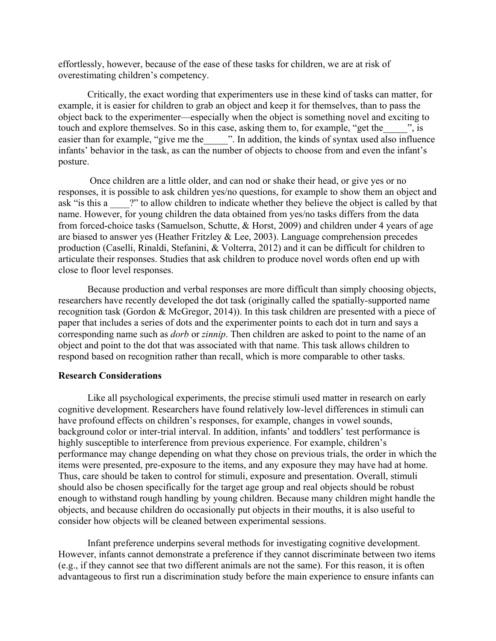effortlessly, however, because of the ease of these tasks for children, we are at risk of overestimating children's competency.

Critically, the exact wording that experimenters use in these kind of tasks can matter, for example, it is easier for children to grab an object and keep it for themselves, than to pass the object back to the experimenter—especially when the object is something novel and exciting to touch and explore themselves. So in this case, asking them to, for example, "get the w. easier than for example, "give me the \_\_\_\_\_". In addition, the kinds of syntax used also influence infants' behavior in the task, as can the number of objects to choose from and even the infant's posture.

Once children are a little older, and can nod or shake their head, or give yes or no responses, it is possible to ask children yes/no questions, for example to show them an object and ask "is this a <sup>2"</sup> to allow children to indicate whether they believe the object is called by that name. However, for young children the data obtained from yes/no tasks differs from the data from forced-choice tasks (Samuelson, Schutte, & Horst, 2009) and children under 4 years of age are biased to answer yes (Heather Fritzley  $&$  Lee, 2003). Language comprehension precedes production (Caselli, Rinaldi, Stefanini, & Volterra, 2012) and it can be difficult for children to articulate their responses. Studies that ask children to produce novel words often end up with close to floor level responses.

Because production and verbal responses are more difficult than simply choosing objects, researchers have recently developed the dot task (originally called the spatially-supported name recognition task (Gordon & McGregor, 2014)). In this task children are presented with a piece of paper that includes a series of dots and the experimenter points to each dot in turn and says a corresponding name such as *dorb* or *zinnip*. Then children are asked to point to the name of an object and point to the dot that was associated with that name. This task allows children to respond based on recognition rather than recall, which is more comparable to other tasks.

#### **Research Considerations**

Like all psychological experiments, the precise stimuli used matter in research on early cognitive development. Researchers have found relatively low-level differences in stimuli can have profound effects on children's responses, for example, changes in vowel sounds, background color or inter-trial interval. In addition, infants' and toddlers' test performance is highly susceptible to interference from previous experience. For example, children's performance may change depending on what they chose on previous trials, the order in which the items were presented, pre-exposure to the items, and any exposure they may have had at home. Thus, care should be taken to control for stimuli, exposure and presentation. Overall, stimuli should also be chosen specifically for the target age group and real objects should be robust enough to withstand rough handling by young children. Because many children might handle the objects, and because children do occasionally put objects in their mouths, it is also useful to consider how objects will be cleaned between experimental sessions.

Infant preference underpins several methods for investigating cognitive development. However, infants cannot demonstrate a preference if they cannot discriminate between two items (e.g., if they cannot see that two different animals are not the same). For this reason, it is often advantageous to first run a discrimination study before the main experience to ensure infants can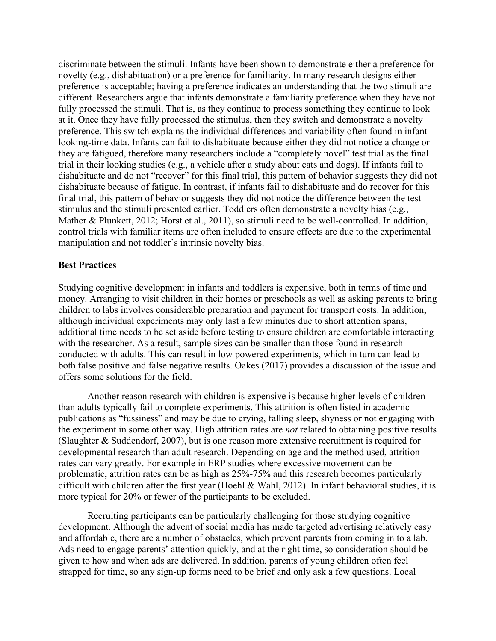discriminate between the stimuli. Infants have been shown to demonstrate either a preference for novelty (e.g., dishabituation) or a preference for familiarity. In many research designs either preference is acceptable; having a preference indicates an understanding that the two stimuli are different. Researchers argue that infants demonstrate a familiarity preference when they have not fully processed the stimuli. That is, as they continue to process something they continue to look at it. Once they have fully processed the stimulus, then they switch and demonstrate a novelty preference. This switch explains the individual differences and variability often found in infant looking-time data. Infants can fail to dishabituate because either they did not notice a change or they are fatigued, therefore many researchers include a "completely novel" test trial as the final trial in their looking studies (e.g., a vehicle after a study about cats and dogs). If infants fail to dishabituate and do not "recover" for this final trial, this pattern of behavior suggests they did not dishabituate because of fatigue. In contrast, if infants fail to dishabituate and do recover for this final trial, this pattern of behavior suggests they did not notice the difference between the test stimulus and the stimuli presented earlier. Toddlers often demonstrate a novelty bias (e.g., Mather & Plunkett, 2012; Horst et al., 2011), so stimuli need to be well-controlled. In addition, control trials with familiar items are often included to ensure effects are due to the experimental manipulation and not toddler's intrinsic novelty bias.

### **Best Practices**

Studying cognitive development in infants and toddlers is expensive, both in terms of time and money. Arranging to visit children in their homes or preschools as well as asking parents to bring children to labs involves considerable preparation and payment for transport costs. In addition, although individual experiments may only last a few minutes due to short attention spans, additional time needs to be set aside before testing to ensure children are comfortable interacting with the researcher. As a result, sample sizes can be smaller than those found in research conducted with adults. This can result in low powered experiments, which in turn can lead to both false positive and false negative results. Oakes (2017) provides a discussion of the issue and offers some solutions for the field.

Another reason research with children is expensive is because higher levels of children than adults typically fail to complete experiments. This attrition is often listed in academic publications as "fussiness" and may be due to crying, falling sleep, shyness or not engaging with the experiment in some other way. High attrition rates are *not* related to obtaining positive results (Slaughter & Suddendorf, 2007), but is one reason more extensive recruitment is required for developmental research than adult research. Depending on age and the method used, attrition rates can vary greatly. For example in ERP studies where excessive movement can be problematic, attrition rates can be as high as 25%-75% and this research becomes particularly difficult with children after the first year (Hoehl & Wahl, 2012). In infant behavioral studies, it is more typical for 20% or fewer of the participants to be excluded.

Recruiting participants can be particularly challenging for those studying cognitive development. Although the advent of social media has made targeted advertising relatively easy and affordable, there are a number of obstacles, which prevent parents from coming in to a lab. Ads need to engage parents' attention quickly, and at the right time, so consideration should be given to how and when ads are delivered. In addition, parents of young children often feel strapped for time, so any sign-up forms need to be brief and only ask a few questions. Local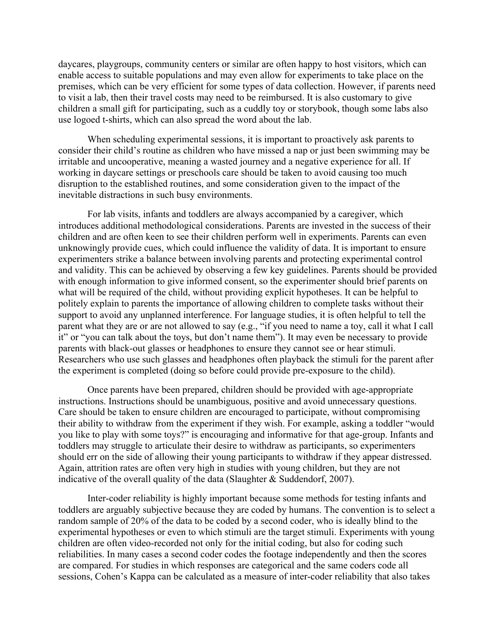daycares, playgroups, community centers or similar are often happy to host visitors, which can enable access to suitable populations and may even allow for experiments to take place on the premises, which can be very efficient for some types of data collection. However, if parents need to visit a lab, then their travel costs may need to be reimbursed. It is also customary to give children a small gift for participating, such as a cuddly toy or storybook, though some labs also use logoed t-shirts, which can also spread the word about the lab.

When scheduling experimental sessions, it is important to proactively ask parents to consider their child's routine as children who have missed a nap or just been swimming may be irritable and uncooperative, meaning a wasted journey and a negative experience for all. If working in daycare settings or preschools care should be taken to avoid causing too much disruption to the established routines, and some consideration given to the impact of the inevitable distractions in such busy environments.

For lab visits, infants and toddlers are always accompanied by a caregiver, which introduces additional methodological considerations. Parents are invested in the success of their children and are often keen to see their children perform well in experiments. Parents can even unknowingly provide cues, which could influence the validity of data. It is important to ensure experimenters strike a balance between involving parents and protecting experimental control and validity. This can be achieved by observing a few key guidelines. Parents should be provided with enough information to give informed consent, so the experimenter should brief parents on what will be required of the child, without providing explicit hypotheses. It can be helpful to politely explain to parents the importance of allowing children to complete tasks without their support to avoid any unplanned interference. For language studies, it is often helpful to tell the parent what they are or are not allowed to say (e.g., "if you need to name a toy, call it what I call it" or "you can talk about the toys, but don't name them"). It may even be necessary to provide parents with black-out glasses or headphones to ensure they cannot see or hear stimuli. Researchers who use such glasses and headphones often playback the stimuli for the parent after the experiment is completed (doing so before could provide pre-exposure to the child).

Once parents have been prepared, children should be provided with age-appropriate instructions. Instructions should be unambiguous, positive and avoid unnecessary questions. Care should be taken to ensure children are encouraged to participate, without compromising their ability to withdraw from the experiment if they wish. For example, asking a toddler "would you like to play with some toys?" is encouraging and informative for that age-group. Infants and toddlers may struggle to articulate their desire to withdraw as participants, so experimenters should err on the side of allowing their young participants to withdraw if they appear distressed. Again, attrition rates are often very high in studies with young children, but they are not indicative of the overall quality of the data (Slaughter & Suddendorf, 2007).

Inter-coder reliability is highly important because some methods for testing infants and toddlers are arguably subjective because they are coded by humans. The convention is to select a random sample of 20% of the data to be coded by a second coder, who is ideally blind to the experimental hypotheses or even to which stimuli are the target stimuli. Experiments with young children are often video-recorded not only for the initial coding, but also for coding such reliabilities. In many cases a second coder codes the footage independently and then the scores are compared. For studies in which responses are categorical and the same coders code all sessions, Cohen's Kappa can be calculated as a measure of inter-coder reliability that also takes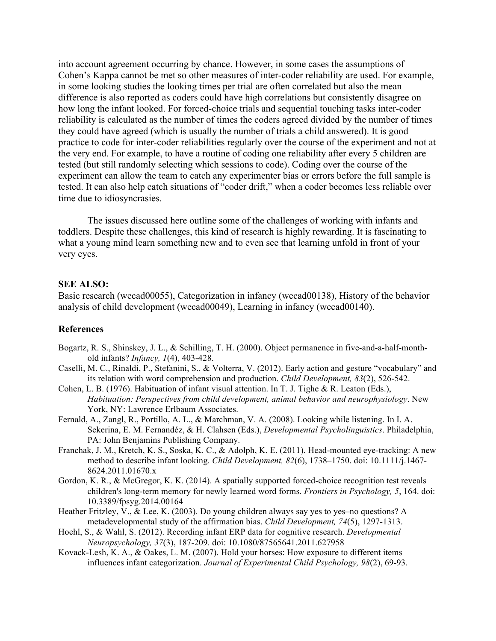into account agreement occurring by chance. However, in some cases the assumptions of Cohen's Kappa cannot be met so other measures of inter-coder reliability are used. For example, in some looking studies the looking times per trial are often correlated but also the mean difference is also reported as coders could have high correlations but consistently disagree on how long the infant looked. For forced-choice trials and sequential touching tasks inter-coder reliability is calculated as the number of times the coders agreed divided by the number of times they could have agreed (which is usually the number of trials a child answered). It is good practice to code for inter-coder reliabilities regularly over the course of the experiment and not at the very end. For example, to have a routine of coding one reliability after every 5 children are tested (but still randomly selecting which sessions to code). Coding over the course of the experiment can allow the team to catch any experimenter bias or errors before the full sample is tested. It can also help catch situations of "coder drift," when a coder becomes less reliable over time due to idiosyncrasies.

The issues discussed here outline some of the challenges of working with infants and toddlers. Despite these challenges, this kind of research is highly rewarding. It is fascinating to what a young mind learn something new and to even see that learning unfold in front of your very eyes.

#### **SEE ALSO:**

Basic research (wecad00055), Categorization in infancy (wecad00138), History of the behavior analysis of child development (wecad00049), Learning in infancy (wecad00140).

#### **References**

- Bogartz, R. S., Shinskey, J. L., & Schilling, T. H. (2000). Object permanence in five-and-a-half-monthold infants? *Infancy, 1*(4), 403-428.
- Caselli, M. C., Rinaldi, P., Stefanini, S., & Volterra, V. (2012). Early action and gesture "vocabulary" and its relation with word comprehension and production. *Child Development, 83*(2), 526-542.
- Cohen, L. B. (1976). Habituation of infant visual attention. In T. J. Tighe & R. Leaton (Eds.), *Habituation: Perspectives from child development, animal behavior and neurophysiology*. New York, NY: Lawrence Erlbaum Associates.
- Fernald, A., Zangl, R., Portillo, A. L., & Marchman, V. A. (2008). Looking while listening. In I. A. Sekerina, E. M. Fernandéz, & H. Clahsen (Eds.), *Developmental Psycholinguistics*. Philadelphia, PA: John Benjamins Publishing Company.
- Franchak, J. M., Kretch, K. S., Soska, K. C., & Adolph, K. E. (2011). Head-mounted eye-tracking: A new method to describe infant looking. *Child Development, 82*(6), 1738–1750. doi: 10.1111/j.1467- 8624.2011.01670.x
- Gordon, K. R., & McGregor, K. K. (2014). A spatially supported forced-choice recognition test reveals children's long-term memory for newly learned word forms. *Frontiers in Psychology, 5*, 164. doi: 10.3389/fpsyg.2014.00164
- Heather Fritzley, V., & Lee, K. (2003). Do young children always say yes to yes–no questions? A metadevelopmental study of the affirmation bias. *Child Development, 74*(5), 1297-1313.
- Hoehl, S., & Wahl, S. (2012). Recording infant ERP data for cognitive research. *Developmental Neuropsychology, 37*(3), 187-209. doi: 10.1080/87565641.2011.627958
- Kovack-Lesh, K. A., & Oakes, L. M. (2007). Hold your horses: How exposure to different items influences infant categorization. *Journal of Experimental Child Psychology, 98*(2), 69-93.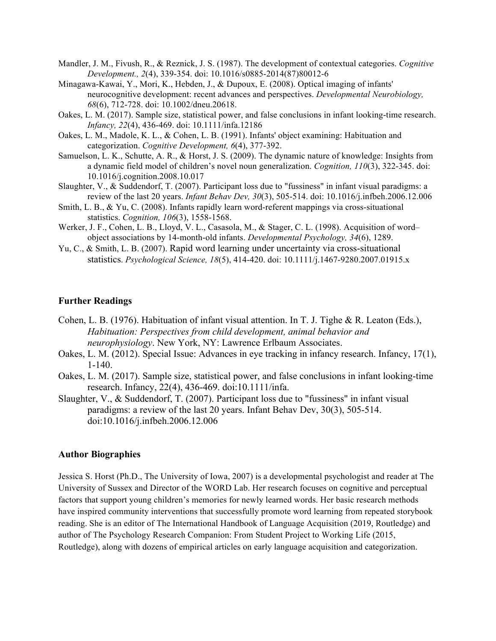- Mandler, J. M., Fivush, R., & Reznick, J. S. (1987). The development of contextual categories. *Cognitive Development., 2*(4), 339-354. doi: 10.1016/s0885-2014(87)80012-6
- Minagawa-Kawai, Y., Mori, K., Hebden, J., & Dupoux, E. (2008). Optical imaging of infants' neurocognitive development: recent advances and perspectives. *Developmental Neurobiology, 68*(6), 712-728. doi: 10.1002/dneu.20618.
- Oakes, L. M. (2017). Sample size, statistical power, and false conclusions in infant looking-time research. *Infancy, 22*(4), 436-469. doi: 10.1111/infa.12186
- Oakes, L. M., Madole, K. L., & Cohen, L. B. (1991). Infants' object examining: Habituation and categorization. *Cognitive Development, 6*(4), 377-392.
- Samuelson, L. K., Schutte, A. R., & Horst, J. S. (2009). The dynamic nature of knowledge: Insights from a dynamic field model of children's novel noun generalization. *Cognition, 110*(3), 322-345. doi: 10.1016/j.cognition.2008.10.017
- Slaughter, V., & Suddendorf, T. (2007). Participant loss due to "fussiness" in infant visual paradigms: a review of the last 20 years. *Infant Behav Dev, 30*(3), 505-514. doi: 10.1016/j.infbeh.2006.12.006
- Smith, L. B., & Yu, C. (2008). Infants rapidly learn word-referent mappings via cross-situational statistics. *Cognition, 106*(3), 1558-1568.
- Werker, J. F., Cohen, L. B., Lloyd, V. L., Casasola, M., & Stager, C. L. (1998). Acquisition of word– object associations by 14-month-old infants. *Developmental Psychology, 34*(6), 1289.
- Yu, C., & Smith, L. B. (2007). Rapid word learning under uncertainty via cross-situational statistics. *Psychological Science, 18*(5), 414-420. doi: 10.1111/j.1467-9280.2007.01915.x

#### **Further Readings**

- Cohen, L. B. (1976). Habituation of infant visual attention. In T. J. Tighe & R. Leaton (Eds.), *Habituation: Perspectives from child development, animal behavior and neurophysiology*. New York, NY: Lawrence Erlbaum Associates.
- Oakes, L. M. (2012). Special Issue: Advances in eye tracking in infancy research. Infancy, 17(1), 1-140.
- Oakes, L. M. (2017). Sample size, statistical power, and false conclusions in infant looking-time research. Infancy, 22(4), 436-469. doi:10.1111/infa.
- Slaughter, V., & Suddendorf, T. (2007). Participant loss due to "fussiness" in infant visual paradigms: a review of the last 20 years. Infant Behav Dev, 30(3), 505-514. doi:10.1016/j.infbeh.2006.12.006

#### **Author Biographies**

Jessica S. Horst (Ph.D., The University of Iowa, 2007) is a developmental psychologist and reader at The University of Sussex and Director of the WORD Lab. Her research focuses on cognitive and perceptual factors that support young children's memories for newly learned words. Her basic research methods have inspired community interventions that successfully promote word learning from repeated storybook reading. She is an editor of The International Handbook of Language Acquisition (2019, Routledge) and author of The Psychology Research Companion: From Student Project to Working Life (2015, Routledge), along with dozens of empirical articles on early language acquisition and categorization.